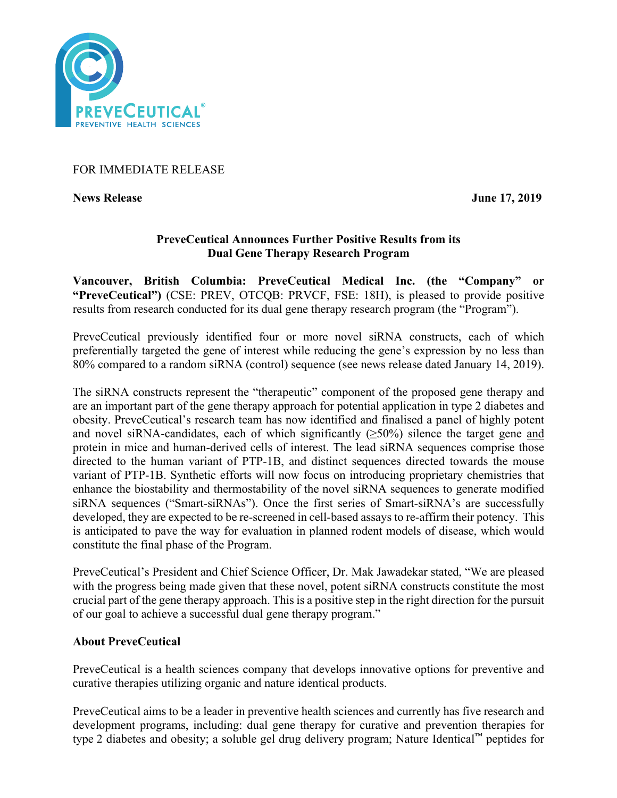

# FOR IMMEDIATE RELEASE

**News Release June 17, 2019** 

# **PreveCeutical Announces Further Positive Results from its Dual Gene Therapy Research Program**

**Vancouver, British Columbia: PreveCeutical Medical Inc. (the "Company" or "PreveCeutical")** (CSE: PREV, OTCQB: PRVCF, FSE: 18H), is pleased to provide positive results from research conducted for its dual gene therapy research program (the "Program").

PreveCeutical previously identified four or more novel siRNA constructs, each of which preferentially targeted the gene of interest while reducing the gene's expression by no less than 80% compared to a random siRNA (control) sequence (see news release dated January 14, 2019).

The siRNA constructs represent the "therapeutic" component of the proposed gene therapy and are an important part of the gene therapy approach for potential application in type 2 diabetes and obesity. PreveCeutical's research team has now identified and finalised a panel of highly potent and novel siRNA-candidates, each of which significantly  $(\geq 50\%)$  silence the target gene and protein in mice and human-derived cells of interest. The lead siRNA sequences comprise those directed to the human variant of PTP-1B, and distinct sequences directed towards the mouse variant of PTP-1B. Synthetic efforts will now focus on introducing proprietary chemistries that enhance the biostability and thermostability of the novel siRNA sequences to generate modified siRNA sequences ("Smart-siRNAs"). Once the first series of Smart-siRNA's are successfully developed, they are expected to be re-screened in cell-based assays to re-affirm their potency. This is anticipated to pave the way for evaluation in planned rodent models of disease, which would constitute the final phase of the Program.

PreveCeutical's President and Chief Science Officer, Dr. Mak Jawadekar stated, "We are pleased with the progress being made given that these novel, potent siRNA constructs constitute the most crucial part of the gene therapy approach. This is a positive step in the right direction for the pursuit of our goal to achieve a successful dual gene therapy program."

## **About PreveCeutical**

PreveCeutical is a health sciences company that develops innovative options for preventive and curative therapies utilizing organic and nature identical products.

PreveCeutical aims to be a leader in preventive health sciences and currently has five research and development programs, including: dual gene therapy for curative and prevention therapies for type 2 diabetes and obesity; a soluble gel drug delivery program; Nature Identical™ peptides for